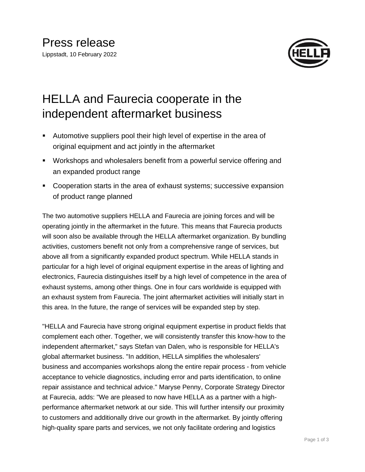

## HELLA and Faurecia cooperate in the independent aftermarket business

- Automotive suppliers pool their high level of expertise in the area of original equipment and act jointly in the aftermarket
- Workshops and wholesalers benefit from a powerful service offering and an expanded product range
- Cooperation starts in the area of exhaust systems; successive expansion of product range planned

The two automotive suppliers HELLA and Faurecia are joining forces and will be operating jointly in the aftermarket in the future. This means that Faurecia products will soon also be available through the HELLA aftermarket organization. By bundling activities, customers benefit not only from a comprehensive range of services, but above all from a significantly expanded product spectrum. While HELLA stands in particular for a high level of original equipment expertise in the areas of lighting and electronics, Faurecia distinguishes itself by a high level of competence in the area of exhaust systems, among other things. One in four cars worldwide is equipped with an exhaust system from Faurecia. The joint aftermarket activities will initially start in this area. In the future, the range of services will be expanded step by step.

"HELLA and Faurecia have strong original equipment expertise in product fields that complement each other. Together, we will consistently transfer this know-how to the independent aftermarket," says Stefan van Dalen, who is responsible for HELLA's global aftermarket business. "In addition, HELLA simplifies the wholesalers' business and accompanies workshops along the entire repair process - from vehicle acceptance to vehicle diagnostics, including error and parts identification, to online repair assistance and technical advice." Maryse Penny, Corporate Strategy Director at Faurecia, adds: "We are pleased to now have HELLA as a partner with a highperformance aftermarket network at our side. This will further intensify our proximity to customers and additionally drive our growth in the aftermarket. By jointly offering high-quality spare parts and services, we not only facilitate ordering and logistics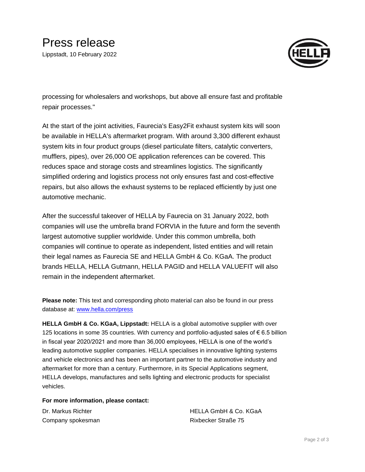

processing for wholesalers and workshops, but above all ensure fast and profitable repair processes."

At the start of the joint activities, Faurecia's Easy2Fit exhaust system kits will soon be available in HELLA's aftermarket program. With around 3,300 different exhaust system kits in four product groups (diesel particulate filters, catalytic converters, mufflers, pipes), over 26,000 OE application references can be covered. This reduces space and storage costs and streamlines logistics. The significantly simplified ordering and logistics process not only ensures fast and cost-effective repairs, but also allows the exhaust systems to be replaced efficiently by just one automotive mechanic.

After the successful takeover of HELLA by Faurecia on 31 January 2022, both companies will use the umbrella brand FORVIA in the future and form the seventh largest automotive supplier worldwide. Under this common umbrella, both companies will continue to operate as independent, listed entities and will retain their legal names as Faurecia SE and HELLA GmbH & Co. KGaA. The product brands HELLA, HELLA Gutmann, HELLA PAGID and HELLA VALUEFIT will also remain in the independent aftermarket.

**Please note:** This text and corresponding photo material can also be found in our press database at: [www.hella.com/press](http://www.hella.com/press)

**HELLA GmbH & Co. KGaA, Lippstadt:** HELLA is a global automotive supplier with over 125 locations in some 35 countries. With currency and portfolio-adjusted sales of € 6.5 billion in fiscal year 2020/2021 and more than 36,000 employees, HELLA is one of the world's leading automotive supplier companies. HELLA specialises in innovative lighting systems and vehicle electronics and has been an important partner to the automotive industry and aftermarket for more than a century. Furthermore, in its Special Applications segment, HELLA develops, manufactures and sells lighting and electronic products for specialist vehicles.

## **For more information, please contact:**

Company spokesman Rixbecker Straße 75

Dr. Markus Richter **HELLA GmbH & Co. KGaA**